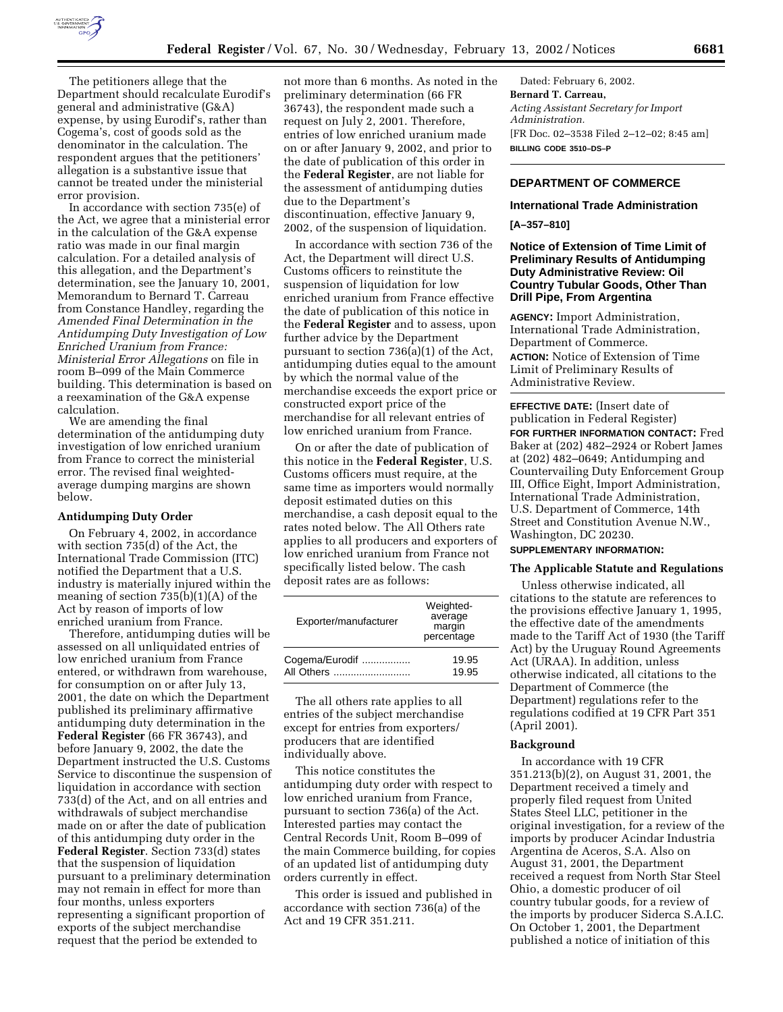

The petitioners allege that the Department should recalculate Eurodif's general and administrative (G&A) expense, by using Eurodif's, rather than Cogema's, cost of goods sold as the denominator in the calculation. The respondent argues that the petitioners' allegation is a substantive issue that cannot be treated under the ministerial error provision.

In accordance with section 735(e) of the Act, we agree that a ministerial error in the calculation of the G&A expense ratio was made in our final margin calculation. For a detailed analysis of this allegation, and the Department's determination, see the January 10, 2001, Memorandum to Bernard T. Carreau from Constance Handley, regarding the *Amended Final Determination in the Antidumping Duty Investigation of Low Enriched Uranium from France: Ministerial Error Allegations* on file in room B–099 of the Main Commerce building. This determination is based on a reexamination of the G&A expense calculation.

We are amending the final determination of the antidumping duty investigation of low enriched uranium from France to correct the ministerial error. The revised final weightedaverage dumping margins are shown below.

#### **Antidumping Duty Order**

On February 4, 2002, in accordance with section 735(d) of the Act, the International Trade Commission (ITC) notified the Department that a U.S. industry is materially injured within the meaning of section 735(b)(1)(A) of the Act by reason of imports of low enriched uranium from France.

Therefore, antidumping duties will be assessed on all unliquidated entries of low enriched uranium from France entered, or withdrawn from warehouse, for consumption on or after July 13, 2001, the date on which the Department published its preliminary affirmative antidumping duty determination in the **Federal Register** (66 FR 36743), and before January 9, 2002, the date the Department instructed the U.S. Customs Service to discontinue the suspension of liquidation in accordance with section 733(d) of the Act, and on all entries and withdrawals of subject merchandise made on or after the date of publication of this antidumping duty order in the **Federal Register**. Section 733(d) states that the suspension of liquidation pursuant to a preliminary determination may not remain in effect for more than four months, unless exporters representing a significant proportion of exports of the subject merchandise request that the period be extended to

not more than 6 months. As noted in the preliminary determination (66 FR 36743), the respondent made such a request on July 2, 2001. Therefore, entries of low enriched uranium made on or after January 9, 2002, and prior to the date of publication of this order in the **Federal Register**, are not liable for the assessment of antidumping duties due to the Department's discontinuation, effective January 9, 2002, of the suspension of liquidation.

In accordance with section 736 of the Act, the Department will direct U.S. Customs officers to reinstitute the suspension of liquidation for low enriched uranium from France effective the date of publication of this notice in the **Federal Register** and to assess, upon further advice by the Department pursuant to section 736(a)(1) of the Act, antidumping duties equal to the amount by which the normal value of the merchandise exceeds the export price or constructed export price of the merchandise for all relevant entries of low enriched uranium from France.

On or after the date of publication of this notice in the **Federal Register**, U.S. Customs officers must require, at the same time as importers would normally deposit estimated duties on this merchandise, a cash deposit equal to the rates noted below. The All Others rate applies to all producers and exporters of low enriched uranium from France not specifically listed below. The cash deposit rates are as follows:

| Exporter/manufacturer | Weighted-<br>average<br>margin<br>percentage |
|-----------------------|----------------------------------------------|
| Cogema/Eurodif        | 19.95                                        |
| All Others            | 19.95                                        |

The all others rate applies to all entries of the subject merchandise except for entries from exporters/ producers that are identified individually above.

This notice constitutes the antidumping duty order with respect to low enriched uranium from France, pursuant to section 736(a) of the Act. Interested parties may contact the Central Records Unit, Room B–099 of the main Commerce building, for copies of an updated list of antidumping duty orders currently in effect.

This order is issued and published in accordance with section 736(a) of the Act and 19 CFR 351.211.

Dated: February 6, 2002. **Bernard T. Carreau,** *Acting Assistant Secretary for Import Administration.* [FR Doc. 02–3538 Filed 2–12–02; 8:45 am] **BILLING CODE 3510–DS–P**

# **DEPARTMENT OF COMMERCE**

# **International Trade Administration**

#### **[A–357–810]**

### **Notice of Extension of Time Limit of Preliminary Results of Antidumping Duty Administrative Review: Oil Country Tubular Goods, Other Than Drill Pipe, From Argentina**

**AGENCY:** Import Administration, International Trade Administration, Department of Commerce. **ACTION:** Notice of Extension of Time Limit of Preliminary Results of Administrative Review.

**EFFECTIVE DATE:** (Insert date of publication in Federal Register) **FOR FURTHER INFORMATION CONTACT:** Fred Baker at (202) 482–2924 or Robert James at (202) 482–0649; Antidumping and Countervailing Duty Enforcement Group III, Office Eight, Import Administration, International Trade Administration, U.S. Department of Commerce, 14th Street and Constitution Avenue N.W., Washington, DC 20230.

# **SUPPLEMENTARY INFORMATION:**

### **The Applicable Statute and Regulations**

Unless otherwise indicated, all citations to the statute are references to the provisions effective January 1, 1995, the effective date of the amendments made to the Tariff Act of 1930 (the Tariff Act) by the Uruguay Round Agreements Act (URAA). In addition, unless otherwise indicated, all citations to the Department of Commerce (the Department) regulations refer to the regulations codified at 19 CFR Part 351 (April 2001).

### **Background**

In accordance with 19 CFR 351.213(b)(2), on August 31, 2001, the Department received a timely and properly filed request from United States Steel LLC, petitioner in the original investigation, for a review of the imports by producer Acindar Industria Argentina de Aceros, S.A. Also on August 31, 2001, the Department received a request from North Star Steel Ohio, a domestic producer of oil country tubular goods, for a review of the imports by producer Siderca S.A.I.C. On October 1, 2001, the Department published a notice of initiation of this